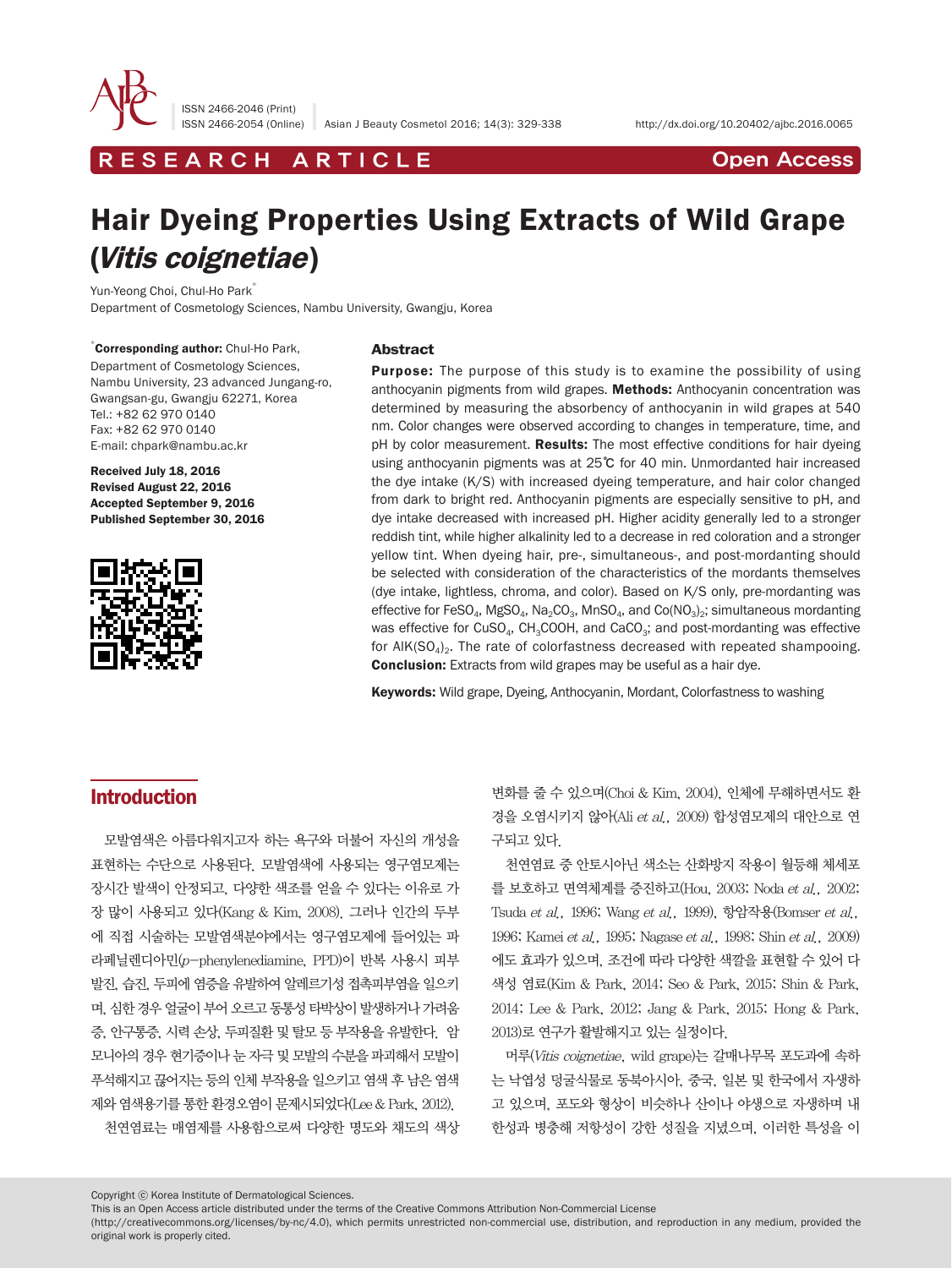

ISSN 2466-2046 (Print)

ISSN 2466-2054 (Online) Asian J Beauty Cosmetol 2016; 14(3): 329-338 http://dx.doi.org/10.20402/ajbc.2016.0065

R E S E A R C H A R T I C L E CHE COPEN ACCESS

# Hair Dyeing Properties Using Extracts of Wild Grape (Vitis coignetiae)

Yun-Yeong Choi, Chul-Ho Park<sup>\*</sup> Department of Cosmetology Sciences, Nambu University, Gwangju, Korea

\* Corresponding author: Chul-Ho Park, Department of Cosmetology Sciences, Nambu University, 23 advanced Jungang-ro, Gwangsan-gu, Gwangju 62271, Korea Tel.: +82 62 970 0140 Fax: +82 62 970 0140 E-mail: chpark@nambu.ac.kr

Received July 18, 2016 Revised August 22, 2016 Accepted September 9, 2016 Published September 30, 2016



#### Abstract

**Purpose:** The purpose of this study is to examine the possibility of using anthocyanin pigments from wild grapes. Methods: Anthocyanin concentration was determined by measuring the absorbency of anthocyanin in wild grapes at 540 nm. Color changes were observed according to changes in temperature, time, and pH by color measurement. Results: The most effective conditions for hair dyeing using anthocyanin pigments was at 25℃ for 40 min. Unmordanted hair increased the dye intake (K/S) with increased dyeing temperature, and hair color changed from dark to bright red. Anthocyanin pigments are especially sensitive to pH, and dye intake decreased with increased pH. Higher acidity generally led to a stronger reddish tint, while higher alkalinity led to a decrease in red coloration and a stronger yellow tint. When dyeing hair, pre-, simultaneous-, and post-mordanting should be selected with consideration of the characteristics of the mordants themselves (dye intake, lightless, chroma, and color). Based on K/S only, pre-mordanting was effective for FeSO<sub>4</sub>, MgSO<sub>4</sub>, Na<sub>2</sub>CO<sub>3</sub>, MnSO<sub>4</sub>, and Co(NO<sub>3</sub>)<sub>2</sub>; simultaneous mordanting was effective for CuSO<sub>4</sub>, CH<sub>3</sub>COOH, and CaCO<sub>3</sub>; and post-mordanting was effective for AIK( $SO_4$ )<sub>2</sub>. The rate of colorfastness decreased with repeated shampooing. Conclusion: Extracts from wild grapes may be useful as a hair dye.

Keywords: Wild grape, Dyeing, Anthocyanin, Mordant, Colorfastness to washing

## **Introduction**

모발염색은 아름다워지고자 하는 욕구와 더불어 자신의 개성을 표현하는 수단으로 사용된다. 모발염색에 사용되는 영구염모제는 장시간 발색이 안정되고, 다양한 색조를 얻을 수 있다는 이유로 가 장 많이 사용되고 있다(Kang & Kim, 2008). 그러나 인간의 두부 에 직접 시술하는 모발염색분야에서는 영구염모제에 들어있는 파 라페닐렌디아민(p-phenylenediamine, PPD)이 반복 사용시 피부 발진, 습진, 두피에 염증을 유발하여 알레르기성 접촉피부염을 일으키 며, 심한 경우 얼굴이 부어 오르고 동통성 타박상이 발생하거나 가려움 증, 안구통증, 시력 손상, 두피질환 및 탈모 등 부작용을 유발한다. 암 모니아의 경우 현기증이나 눈 자극 및 모발의 수분을 파괴해서 모발이 푸석해지고 끊어지는 등의 인체 부작용을 일으키고 염색 후 남은 염색 제와 염색용기를 통한 환경오염이 문제시되었다(Lee & Park, 2012). 천연염료는 매염제를 사용함으로써 다양한 명도와 채도의 색상

변화를 줄 수 있으며(Choi & Kim, 2004), 인체에 무해하면서도 환 경을 오염시키지 않아(Ali et al., 2009) 합성염모제의 대안으로 연 구되고 있다.

천연염료 중 안토시아닌 색소는 산화방지 작용이 월등해 체세포 를 보호하고 면역체계를 증진하고(Hou, 2003; Noda et al., 2002; Tsuda et al., 1996; Wang et al., 1999), 항암작용(Bomser et al., 1996; Kamei et al., 1995; Nagase et al., 1998; Shin et al., 2009) 에도 효과가 있으며, 조건에 따라 다양한 색깔을 표현할 수 있어 다 색성 염료(Kim & Park, 2014; Seo & Park, 2015; Shin & Park, 2014; Lee & Park, 2012; Jang & Park, 2015; Hong & Park, 2013)로 연구가 활발해지고 있는 실정이다.

머루(Vitis coignetiae, wild grape)는 갈매나무목 포도과에 속하 는 낙엽성 덩굴식물로 동북아시아, 중국, 일본 및 한국에서 자생하 고 있으며, 포도와 형상이 비슷하나 산이나 야생으로 자생하며 내 한성과 병충해 저항성이 강한 성질을 지녔으며, 이러한 특성을 이

Copyright ⓒ Korea Institute of Dermatological Sciences.

(http://creativecommons.org/licenses/by-nc/4.0), which permits unrestricted non-commercial use, distribution, and reproduction in any medium, provided the original work is properly cited.

This is an Open Access article distributed under the terms of the Creative Commons Attribution Non-Commercial License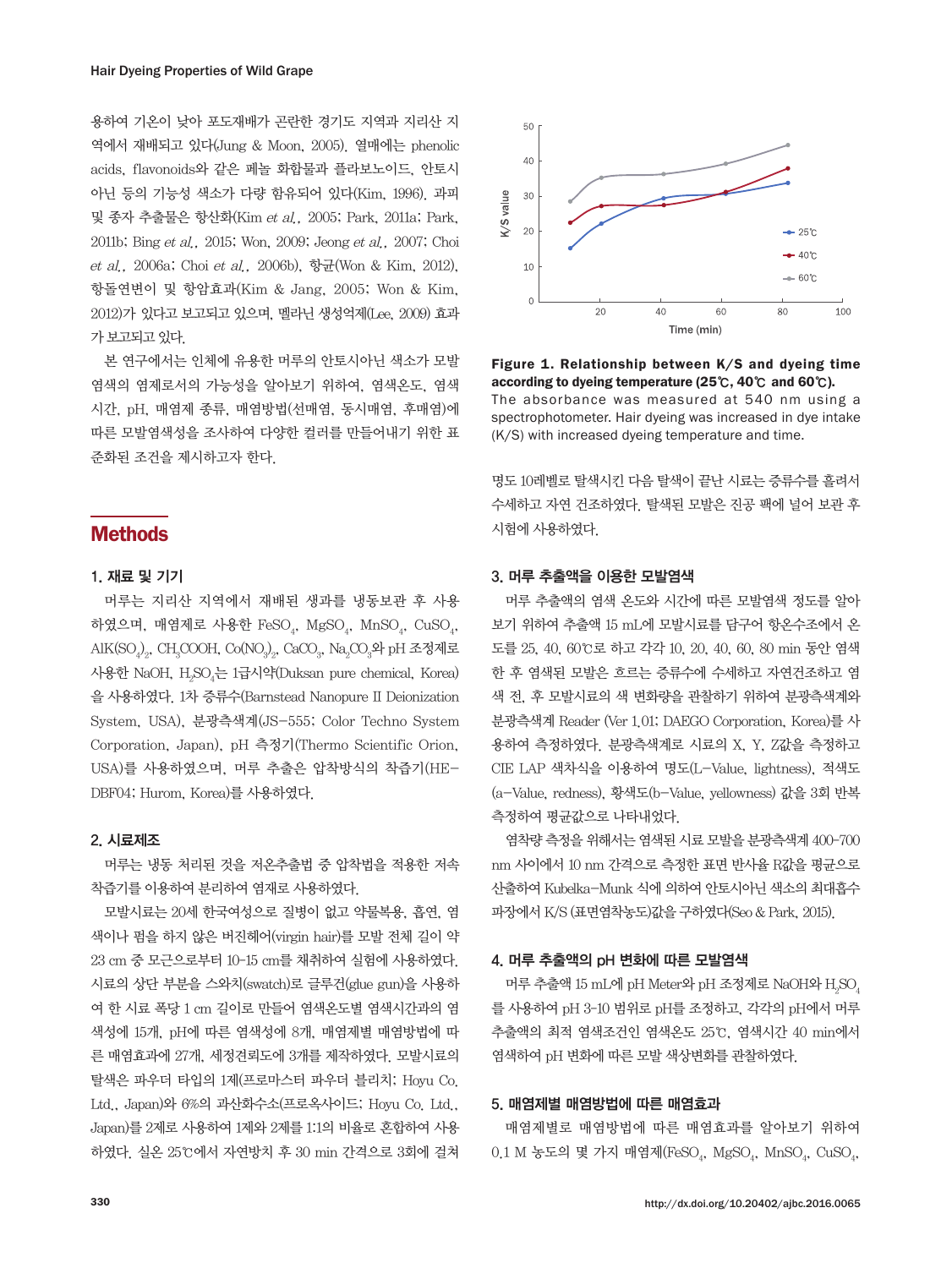용하여 기온이 낮아 포도재배가 곤란한 경기도 지역과 지리산 지 역에서 재배되고 있다(Jung & Moon, 2005). 열매에는 phenolic acids, flavonoids와 같은 페놀 화합물과 플라보노이드, 안토시 아닌 등의 기능성 색소가 다량 함유되어 있다(Kim, 1996). 과피 및 종자 추출물은 항산화(Kim et al., 2005; Park, 2011a; Park, 2011b; Bing et al., 2015; Won, 2009; Jeong et al., 2007; Choi et al., 2006a; Choi et al., 2006b), 항균(Won & Kim, 2012), 항돌연변이 및 항암효과(Kim & Jang, 2005; Won & Kim, 2012)가 있다고 보고되고 있으며, 멜라닌 생성억제(Lee, 2009) 효과 가 보고되고 있다.

본 연구에서는 인체에 유용한 머루의 안토시아닌 색소가 모발 염색의 염제로서의 가능성을 알아보기 위하여, 염색온도, 염색 시간, pH, 매염제 종류, 매염방법(선매염, 동시매염, 후매염)에 따른 모발염색성을 조사하여 다양한 컬러를 만들어내기 위한 표 준화된 조건을 제시하고자 한다.

# **Methods**

## 1. 재료 및 기기

머루는 지리산 지역에서 재배된 생과를 냉동보관 후 사용 하였으며, 매염제로 사용한 FeSO $_4$ , MgSO $_4$ , MnSO $_4$ , CuSO $_4$ ,  $\mathrm{AlK(SO_4)_2}$ , CH $_{3}$ COOH, Co(NO $_{3}$ ) $_{2}$ , CaCO $_{3}$ , Na $_{2}$ CO $_{3}$ 와 pH 조정제로 사용한 NaOH, H<sub>2</sub>SO<sub>4</sub>는 1급시약(Duksan pure chemical, Korea) 을 사용하였다. 1차 증류수(Barnstead Nanopure II Deionization System, USA), 분광측색계(JS-555; Color Techno System Corporation, Japan), pH 측정기(Thermo Scientific Orion, USA)를 사용하였으며, 머루 추출은 압착방식의 착즙기(HE-DBF04; Hurom, Korea)를 사용하였다.

#### 2. 시료제조

머루는 냉동 처리된 것을 저온추출법 중 압착법을 적용한 저속 착즙기를 이용하여 분리하여 염재로 사용하였다.

모발시료는 20세 한국여성으로 질병이 없고 약물복용, 흡연, 염 색이나 펌을 하지 않은 버진헤어(virgin hair)를 모발 전체 길이 약 23 cm 중 모근으로부터 10-15 cm를 채취하여 실험에 사용하였다. 시료의 상단 부분을 스와치(swatch)로 글루건(glue gun)을 사용하 여 한 시료 폭당 1 cm 길이로 만들어 염색온도별 염색시간과의 염 색성에 15개, pH에 따른 염색성에 8개, 매염제별 매염방법에 따 른 매염효과에 27개, 세정견뢰도에 3개를 제작하였다. 모발시료의 탈색은 파우더 타입의 1제(프로마스터 파우더 블리치; Hoyu Co. Ltd., Japan)와 6%의 과산화수소(프로옥사이드; Hoyu Co. Ltd., Japan)를 2제로 사용하여 1제와 2제를 1:1의 비율로 혼합하여 사용 하였다. 실온 25℃에서 자연방치 후 30 min 간격으로 3회에 걸쳐



Figure 1. Relationship between K/S and dyeing time according to dyeing temperature (25℃, 40℃ and 60℃). The absorbance was measured at 540 nm using a spectrophotometer. Hair dyeing was increased in dye intake (K/S) with increased dyeing temperature and time.

명도 10레벨로 탈색시킨 다음 탈색이 끝난 시료는 증류수를 흘려서 수세하고 자연 건조하였다. 탈색된 모발은 진공 팩에 널어 보관 후 시험에 사용하였다.

#### 3. 머루 추출액을 이용한 모발염색

머루 추출액의 염색 온도와 시간에 따른 모발염색 정도를 알아 보기 위하여 추출액 15 mL에 모발시료를 담구어 항온수조에서 온 도를 25, 40, 60℃로 하고 각각 10, 20, 40, 60, 80 min 동안 염색 한 후 염색된 모발은 흐르는 증류수에 수세하고 자연건조하고 염 색 전, 후 모발시료의 색 변화량을 관찰하기 위하여 분광측색계와 분광측색계 Reader (Ver 1.01; DAEGO Corporation, Korea)를 사 용하여 측정하였다. 분광측색계로 시료의 X, Y, Z값을 측정하고 CIE LAP 색차식을 이용하여 명도(L-Value, lightness), 적색도 (a-Value, redness), 황색도(b-Value, yellowness) 값을 3회 반복 측정하여 평균값으로 나타내었다.

염착량 측정을 위해서는 염색된 시료 모발을 분광측색계 400-700 nm 사이에서 10 nm 간격으로 측정한 표면 반사율 R값을 평균으로 산출하여 Kubelka-Munk 식에 의하여 안토시아닌 색소의 최대흡수 파장에서 K/S (표면염착농도)값을 구하였다(Seo & Park, 2015).

#### 4. 머루 추출액의 pH 변화에 따른 모발염색

머루 추출액 15 mL에 pH Meter와 pH 조정제로 NaOH와 H<sub>2</sub>SO<sub>4</sub> 를 사용하여 pH 3-10 범위로 pH를 조정하고, 각각의 pH에서 머루 추출액의 최적 염색조건인 염색온도 25℃, 염색시간 40 min에서 염색하여 pH 변화에 따른 모발 색상변화를 관찰하였다.

#### 5. 매염제별 매염방법에 따른 매염효과

매염제별로 매염방법에 따른 매염효과를 알아보기 위하여  $0.1$  M 농도의 몇 가지 매염제(FeSO<sub>4</sub>, MgSO<sub>4</sub>, MnSO<sub>4</sub>, CuSO<sub>4</sub>,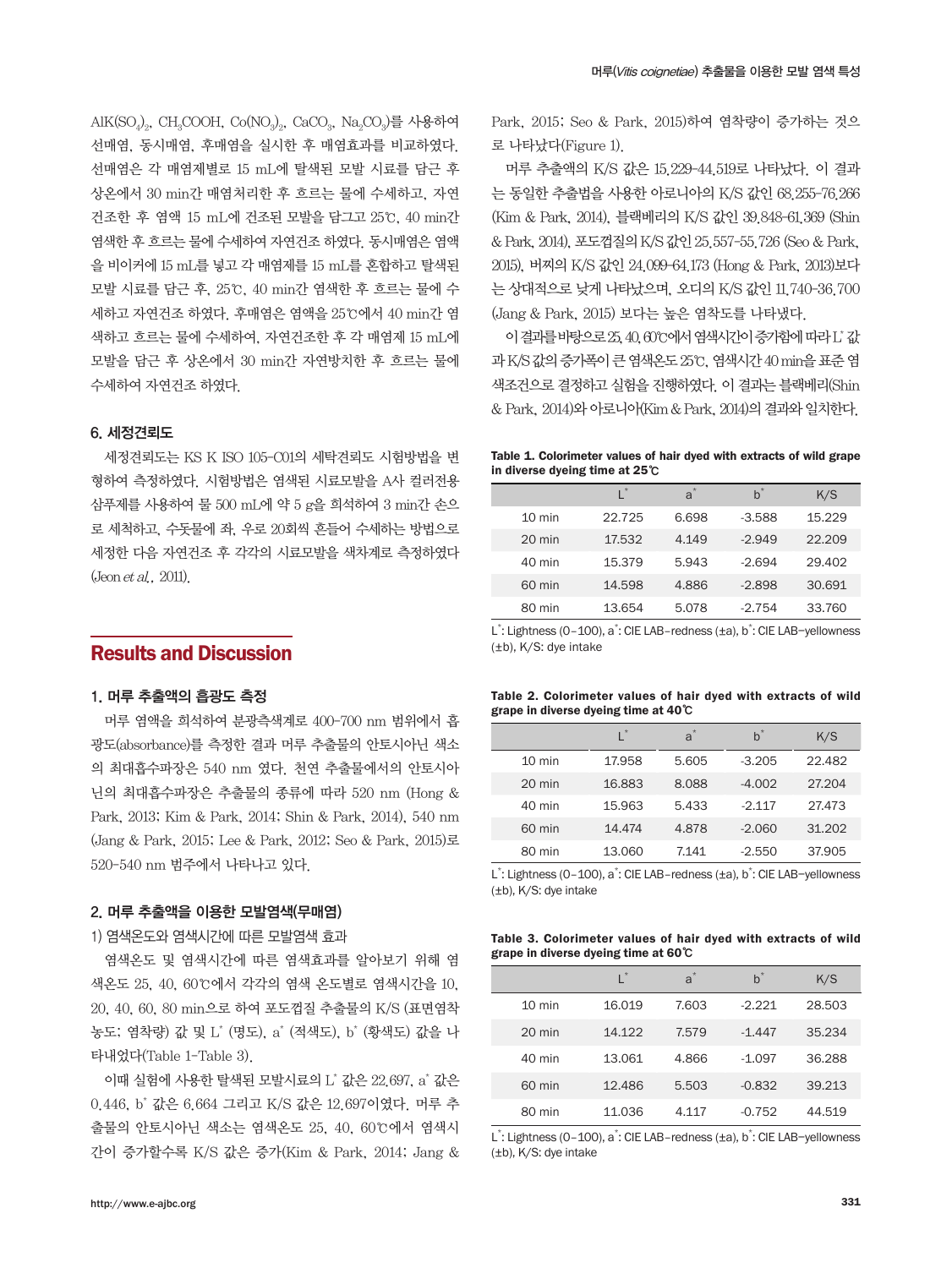$\mathrm{AlK(SO_4)}_2$ , CH $_{3}$ COOH, Co(NO $_{3})_{2}$ , CaCO $_{3}$ , Na $_{2}$ CO $_{3}$ )를 사용하여 선매염, 동시매염, 후매염을 실시한 후 매염효과를 비교하였다. 선매염은 각 매염제별로 15 mL에 탈색된 모발 시료를 담근 후 상온에서 30 min간 매염처리한 후 흐르는 물에 수세하고, 자연 건조한 후 염액 15 mL에 건조된 모발을 담그고 25℃, 40 min간 염색한 후 흐르는 물에 수세하여 자연건조 하였다. 동시매염은 염액 을 비이커에 15 mL를 넣고 각 매염제를 15 mL를 혼합하고 탈색된 모발 시료를 담근 후, 25℃, 40 min간 염색한 후 흐르는 물에 수 세하고 자연건조 하였다. 후매염은 염액을 25℃에서 40 min간 염 색하고 흐르는 물에 수세하여, 자연건조한 후 각 매염제 15 mL에 모발을 담근 후 상온에서 30 min간 자연방치한 후 흐르는 물에 수세하여 자연건조 하였다.

#### 6. 세정견뢰도

세정견뢰도는 KS K ISO 105-C01의 세탁견뢰도 시험방법을 변 형하여 측정하였다. 시험방법은 염색된 시료모발을 A사 컬러전용 삼푸제를 사용하여 물 500 mL에 약 5 g을 희석하여 3 min간 손으 로 세척하고, 수돗물에 좌, 우로 20회씩 흔들어 수세하는 방법으로 세정한 다음 자연건조 후 각각의 시료모발을 색차계로 측정하였다 (Jeon et al., 2011).

# Results and Discussion

#### 1. 머루 추출액의 흡광도 측정

머루 염액을 희석하여 분광측색계로 400-700 nm 범위에서 흡 광도(absorbance)를 측정한 결과 머루 추출물의 안토시아닌 색소 의 최대흡수파장은 540 nm 였다. 천연 추출물에서의 안토시아 닌의 최대흡수파장은 추출물의 종류에 따라 520 nm (Hong & Park, 2013; Kim & Park, 2014; Shin & Park, 2014), 540 nm (Jang & Park, 2015; Lee & Park, 2012; Seo & Park, 2015)로 520-540 nm 범주에서 나타나고 있다.

#### 2. 머루 추출액을 이용한 모발염색(무매염)

#### 1) 염색온도와 염색시간에 따른 모발염색 효과

염색온도 및 염색시간에 따른 염색효과를 알아보기 위해 염 색온도 25, 40, 60℃에서 각각의 염색 온도별로 염색시간을 10, 20, 40, 60, 80 min으로 하여 포도껍질 추출물의 K/S (표면염착 농도; 염착량) 값 및 L\* (명도), a\* (적색도), b\* (황색도) 값을 나 타내었다(Table 1-Table 3).

이때 실험에 사용한 탈색된 모발시료의 L\* 값은 22.697, a\* 값은 0.446, b\* 값은 6.664 그리고 K/S 값은 12.697이였다. 머루 추 출물의 안토시아닌 색소는 염색온도 25, 40, 60℃에서 염색시 간이 증가할수록 K/S 값은 증가(Kim & Park, 2014; Jang &

Park, 2015; Seo & Park, 2015)하여 염착량이 증가하는 것으 로 나타났다(Figure 1).

머루 추출액의 K/S 값은 15.229-44.519로 나타났다. 이 결과 는 동일한 추출법을 사용한 아로니아의 K/S 값인 68.255-76.266 (Kim & Park, 2014), 블랙베리의 K/S 값인 39.848-61.369 (Shin & Park, 2014), 포도껍질의 K/S 값인 25.557-55.726 (Seo & Park, 2015), 버찌의 K/S 값인 24.099-64.173 (Hong & Park, 2013)보다 는 상대적으로 낮게 나타났으며, 오디의 K/S 값인 11.740-36.700 (Jang & Park, 2015) 보다는 높은 염착도를 나타냈다.

이 결과를 바탕으로 25, 40, 60℃에서 염색시간이 증가함에 따라 L\* 값 과 K/S 값의 증가폭이 큰 염색온도 25℃, 염색시간 40 min을 표준 염 색조건으로 결정하고 실험을 진행하였다. 이 결과는 블랙베리(Shin & Park, 2014)와 아로니아(Kim & Park, 2014)의 결과와 일치한다.

| Table 1. Colorimeter values of hair dyed with extracts of wild grape |  |  |  |  |
|----------------------------------------------------------------------|--|--|--|--|
| in diverse dyeing time at $25^\circ\text{C}$                         |  |  |  |  |

|                  |        | $a^*$ | $b^*$    | K/S    |
|------------------|--------|-------|----------|--------|
| $10 \text{ min}$ | 22.725 | 6.698 | $-3.588$ | 15.229 |
| 20 min           | 17.532 | 4.149 | $-2.949$ | 22.209 |
| 40 min           | 15.379 | 5.943 | $-2.694$ | 29.402 |
| 60 min           | 14.598 | 4.886 | $-2.898$ | 30.691 |
| 80 min           | 13.654 | 5.078 | $-2.754$ | 33.760 |

L<sup>\*</sup>: Lightness (0-100), a<sup>\*</sup>: CIE LAB-redness (±a), b<sup>\*</sup>: CIE LAB-yellowness (±b), K/S: dye intake

|  | Table 2. Colorimeter values of hair dyed with extracts of wild |  |  |  |  |
|--|----------------------------------------------------------------|--|--|--|--|
|  | grape in diverse dyeing time at $40^{\circ}$ C                 |  |  |  |  |

|                  |        | $a^*$ | $b^*$    | K/S    |
|------------------|--------|-------|----------|--------|
| $10 \text{ min}$ | 17.958 | 5.605 | $-3.205$ | 22.482 |
| 20 min           | 16.883 | 8.088 | $-4.002$ | 27.204 |
| 40 min           | 15.963 | 5.433 | $-2.117$ | 27.473 |
| 60 min           | 14,474 | 4.878 | $-2.060$ | 31.202 |
| 80 min           | 13.060 | 7.141 | $-2.550$ | 37.905 |

L<sup>\*</sup>: Lightness (0-100), a<sup>\*</sup>: CIE LAB-redness (±a), b<sup>\*</sup>: CIE LAB-yellowness (±b), K/S: dye intake

|  |  |                                              |  |  | Table 3. Colorimeter values of hair dyed with extracts of wild |  |
|--|--|----------------------------------------------|--|--|----------------------------------------------------------------|--|
|  |  | grape in diverse dyeing time at $60^{\circ}$ |  |  |                                                                |  |

|                  |        | $a^*$ | $b^*$    | K/S    |
|------------------|--------|-------|----------|--------|
| $10 \text{ min}$ | 16.019 | 7.603 | $-2.221$ | 28.503 |
| $20 \text{ min}$ | 14.122 | 7.579 | $-1.447$ | 35.234 |
| 40 min           | 13.061 | 4.866 | $-1.097$ | 36.288 |
| 60 min           | 12.486 | 5.503 | $-0.832$ | 39.213 |
| 80 min           | 11.036 | 4.117 | $-0.752$ | 44.519 |

L<sup>\*</sup>: Lightness (0-100), a<sup>\*</sup>: CIE LAB-redness (±a), b<sup>\*</sup>: CIE LAB-yellowness (±b), K/S: dye intake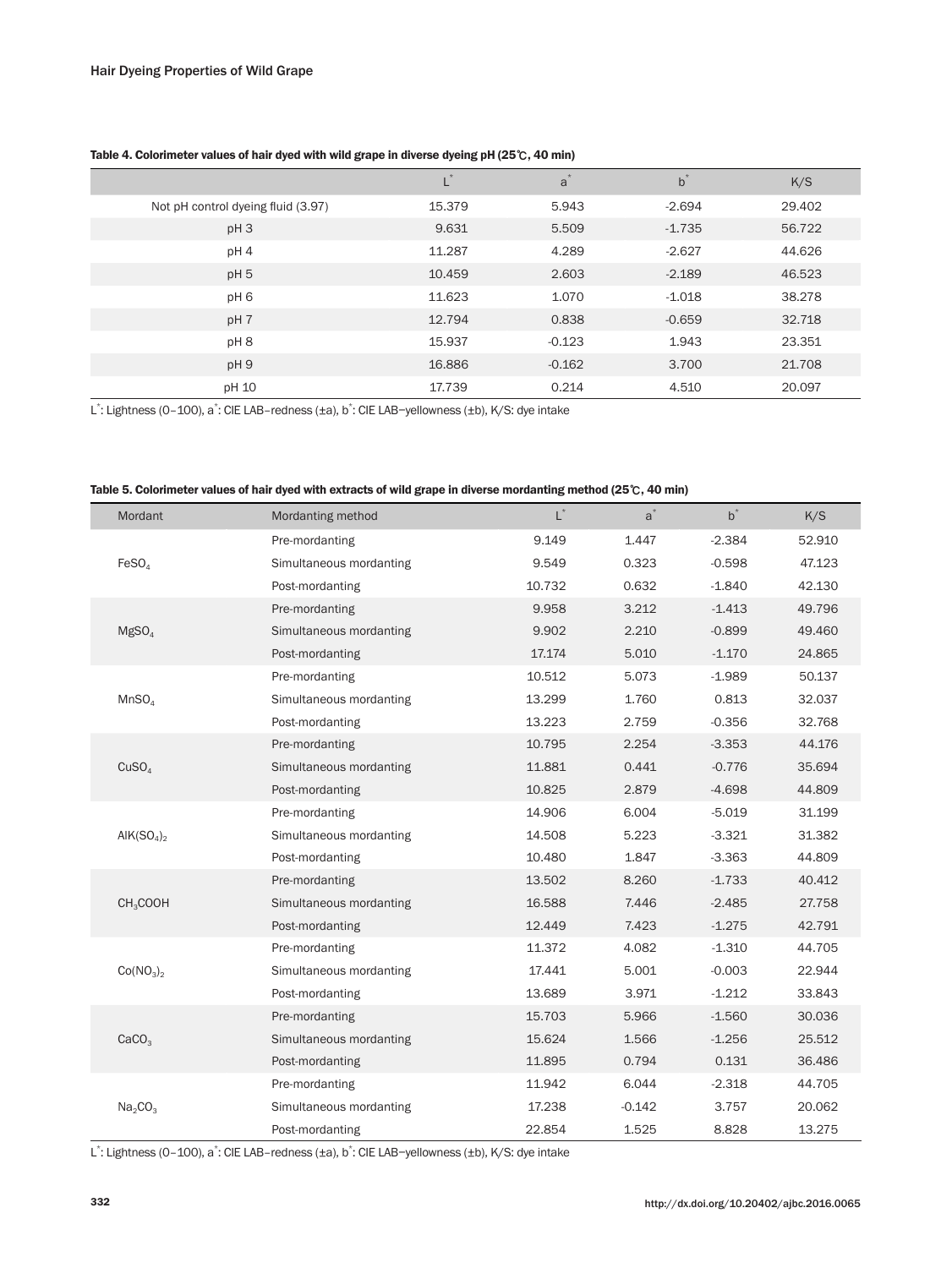| Table 4. Colorimeter values of hair dyed with wild grape in diverse dyeing pH (25 $\degree$ C, 40 min) |  |  |
|--------------------------------------------------------------------------------------------------------|--|--|
|                                                                                                        |  |  |

|                                    | L      | a        | $b^*$    | K/S    |
|------------------------------------|--------|----------|----------|--------|
| Not pH control dyeing fluid (3.97) | 15.379 | 5.943    | $-2.694$ | 29.402 |
| pH <sub>3</sub>                    | 9.631  | 5.509    | $-1.735$ | 56.722 |
| pH4                                | 11.287 | 4.289    | $-2.627$ | 44.626 |
| pH <sub>5</sub>                    | 10.459 | 2.603    | $-2.189$ | 46.523 |
| pH <sub>6</sub>                    | 11.623 | 1.070    | $-1.018$ | 38.278 |
| pH 7                               | 12.794 | 0.838    | $-0.659$ | 32.718 |
| pH8                                | 15.937 | $-0.123$ | 1.943    | 23.351 |
| pH9                                | 16.886 | $-0.162$ | 3.700    | 21.708 |
| pH 10                              | 17.739 | 0.214    | 4.510    | 20.097 |

L\*: Lightness (0–100), a\*: CIE LAB−redness (±a), b\*: CIE LAB−yellowness (±b), K/S: dye intake

| Table 5. Colorimeter values of hair dyed with extracts of wild grape in diverse mordanting method (25 $\mathbb{C}$ , 40 min) |  |  |
|------------------------------------------------------------------------------------------------------------------------------|--|--|
|------------------------------------------------------------------------------------------------------------------------------|--|--|

| Mordant                            | Mordanting method       | $L^*$  | $a^*$    | $b^*$    | K/S    |
|------------------------------------|-------------------------|--------|----------|----------|--------|
|                                    | Pre-mordanting          | 9.149  | 1.447    | $-2.384$ | 52.910 |
| FeSO <sub>4</sub>                  | Simultaneous mordanting | 9.549  | 0.323    | $-0.598$ | 47.123 |
|                                    | Post-mordanting         | 10.732 | 0.632    | $-1.840$ | 42.130 |
|                                    | Pre-mordanting          | 9.958  | 3.212    | $-1.413$ | 49.796 |
| MgSO <sub>4</sub>                  | Simultaneous mordanting | 9.902  | 2.210    | $-0.899$ | 49.460 |
|                                    | Post-mordanting         | 17.174 | 5.010    | $-1.170$ | 24.865 |
|                                    | Pre-mordanting          | 10.512 | 5.073    | $-1.989$ | 50.137 |
| MnSO <sub>4</sub>                  | Simultaneous mordanting | 13.299 | 1.760    | 0.813    | 32.037 |
|                                    | Post-mordanting         | 13.223 | 2.759    | $-0.356$ | 32.768 |
|                                    | Pre-mordanting          | 10.795 | 2.254    | $-3.353$ | 44.176 |
| CuSO <sub>4</sub>                  | Simultaneous mordanting | 11.881 | 0.441    | $-0.776$ | 35.694 |
|                                    | Post-mordanting         | 10.825 | 2.879    | $-4.698$ | 44.809 |
|                                    | Pre-mordanting          | 14.906 | 6.004    | $-5.019$ | 31.199 |
| AIK(SO <sub>4</sub> ) <sub>2</sub> | Simultaneous mordanting | 14.508 | 5.223    | $-3.321$ | 31.382 |
|                                    | Post-mordanting         | 10.480 | 1.847    | $-3.363$ | 44.809 |
|                                    | Pre-mordanting          | 13.502 | 8.260    | $-1.733$ | 40.412 |
| CH <sub>3</sub> COOH               | Simultaneous mordanting | 16.588 | 7.446    | $-2.485$ | 27.758 |
|                                    | Post-mordanting         | 12.449 | 7.423    | $-1.275$ | 42.791 |
|                                    | Pre-mordanting          | 11.372 | 4.082    | $-1.310$ | 44.705 |
| Co(NO <sub>3</sub> ) <sub>2</sub>  | Simultaneous mordanting | 17.441 | 5.001    | $-0.003$ | 22.944 |
|                                    | Post-mordanting         | 13.689 | 3.971    | $-1.212$ | 33.843 |
|                                    | Pre-mordanting          | 15.703 | 5.966    | $-1.560$ | 30.036 |
| CaCO <sub>3</sub>                  | Simultaneous mordanting | 15.624 | 1.566    | $-1.256$ | 25.512 |
|                                    | Post-mordanting         | 11.895 | 0.794    | 0.131    | 36.486 |
|                                    | Pre-mordanting          | 11.942 | 6.044    | $-2.318$ | 44.705 |
| Na <sub>2</sub> CO <sub>3</sub>    | Simultaneous mordanting | 17.238 | $-0.142$ | 3.757    | 20.062 |
|                                    | Post-mordanting         | 22.854 | 1.525    | 8.828    | 13.275 |

L<sup>\*</sup>: Lightness (0−100), a<sup>\*</sup>: CIE LAB-redness (±a), b<sup>\*</sup>: CIE LAB-yellowness (±b), K/S: dye intake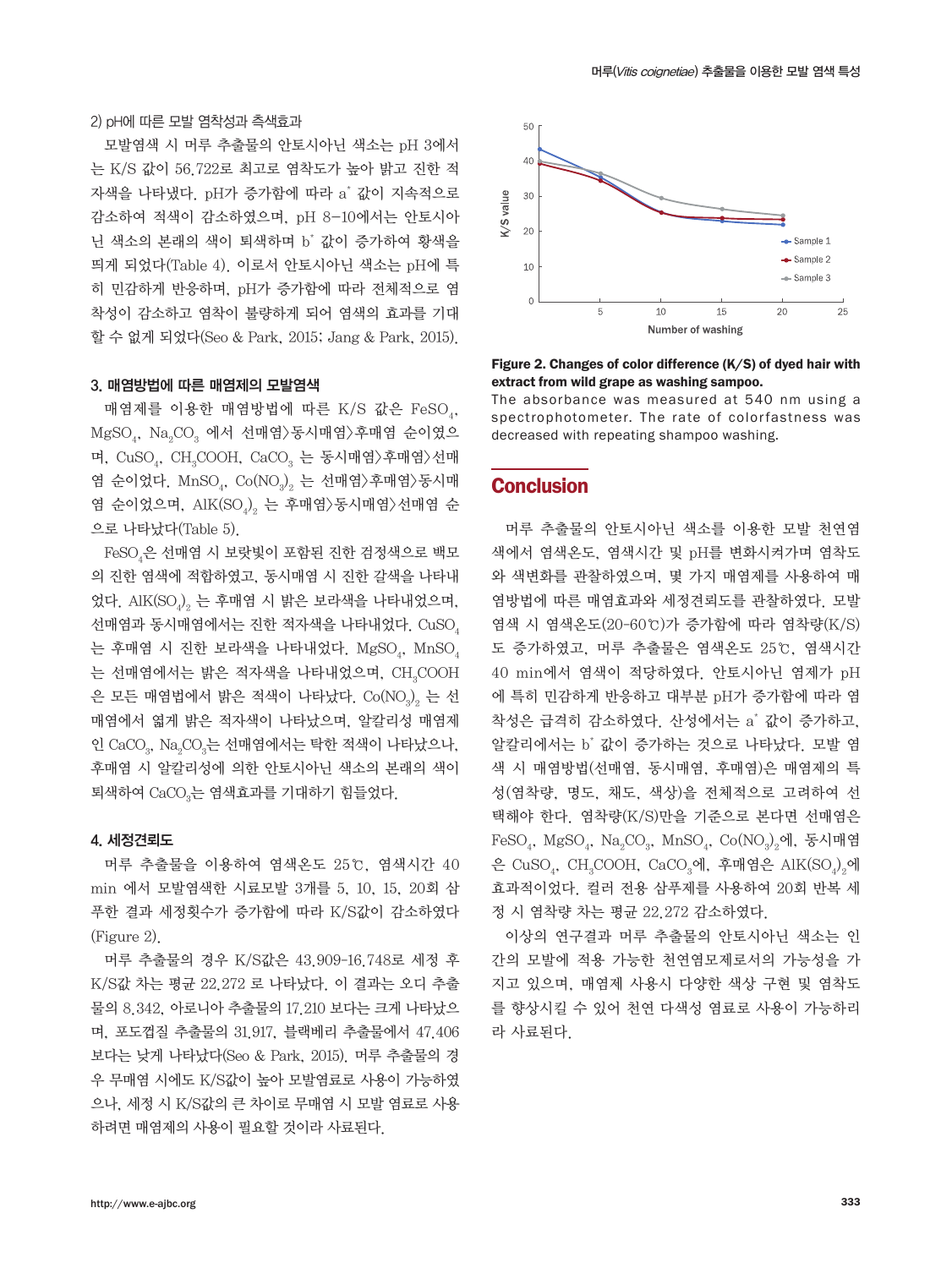2) pH에 따른 모발 염착성과 측색효과

모발염색 시 머루 추출물의 안토시아닌 색소는 pH 3에서 는 K/S 값이 56.722로 최고로 염착도가 높아 밝고 진한 적 자색을 나타냈다. pH가 증가함에 따라 a\* 값이 지속적으로 감소하여 적색이 감소하였으며, pH 8-10에서는 안토시아 닌 색소의 본래의 색이 퇴색하며 b\* 값이 증가하여 황색을 띄게 되었다(Table 4). 이로서 안토시아닌 색소는 pH에 특 히 민감하게 반응하며, pH가 증가함에 따라 전체적으로 염 착성이 감소하고 염착이 불량하게 되어 염색의 효과를 기대 할 수 없게 되었다(Seo & Park, 2015; Jang & Park, 2015).

#### 3. 매염방법에 따른 매염제의 모발염색

매염제를 이용한 매염방법에 따른 K/S 값은 FeSO.,  $\mathrm{MgSO}_4$ ,  $\mathrm{Na}_2\mathrm{CO}_3$  에서 선매염 $>$ 동시매염 $>$ 후매염 순이였으 며, CuSO $_{\textrm{\tiny{4}}}$ , CH $_{\textrm{\tiny{3}}}$ COOH, CaCO $_{\textrm{\tiny{3}}}$  는 동시매염 $\rangle$ 후매염 $\rangle$ 선매 염 순이었다.  $\mathrm{MnSO}_4$ ,  $\mathrm{Co}(\mathrm{NO}_3)_2$  는 선매염 $\rangle$ 후매염 $\rangle$ 동시매 염 순이었으며, AlK(SO $_{4})_{\mathrm{2}}$  는 후매염 $\rangle$ 동시매염 $\rangle$ 선매염 순 으로 나타났다(Table 5).

 $\text{FeSO}_4$ 은 선매염 시 보랏빛이 포함된 진한 검정색으로 백모 의 진한 염색에 적합하였고, 동시매염 시 진한 갈색을 나타내 었다. AlK(SO $_{\varphi_2}$  는 후매염 시 밝은 보라색을 나타내었으며, 선매염과 동시매염에서는 진한 적자색을 나타내었다. CuSO, 는 후매염 시 진한 보라색을 나타내었다.  $\mathrm{MgSO}_4$ ,  $\mathrm{MnSO}_4$ 는 선매염에서는 밝은 적자색을 나타내었으며,  $\rm CH_{_{3}}COOH$ 은 모든 매염법에서 밝은 적색이 나타났다.  $\mathrm{Co}(\mathrm{NO}_3)_{2}$  는 선 매염에서 엷게 밝은 적자색이 나타났으며, 알칼리성 매염제 인 CaCO $_{\scriptscriptstyle 3}$ , Na $_{\scriptscriptstyle 2}$ CO $_{\scriptscriptstyle 3}$ 는 선매염에서는 탁한 적색이 나타났으나, 후매염 시 알칼리성에 의한 안토시아닌 색소의 본래의 색이 퇴색하여 CaCO $_3$ 는 염색효과를 기대하기 힘들었다.

#### 4. 세정견뢰도

머루 추출물을 이용하여 염색온도 25℃, 염색시간 40 min 에서 모발염색한 시료모발 3개를 5, 10, 15, 20회 삼 푸한 결과 세정횟수가 증가함에 따라 K/S값이 감소하였다 (Figure 2).

머루 추출물의 경우 K/S값은 43.909-16.748로 세정 후 K/S값 차는 평균 22.272 로 나타났다. 이 결과는 오디 추출 물의 8.342, 아로니아 추출물의 17.210 보다는 크게 나타났으 며, 포도껍질 추출물의 31.917, 블랙베리 추출물에서 47.406 보다는 낮게 나타났다(Seo & Park, 2015). 머루 추출물의 경 우 무매염 시에도 K/S값이 높아 모발염료로 사용이 가능하였 으나, 세정 시 K/S값의 큰 차이로 무매염 시 모발 염료로 사용 하려면 매염제의 사용이 필요할 것이라 사료된다.



#### Figure 2. Changes of color difference (K/S) of dyed hair with extract from wild grape as washing sampoo.

The absorbance was measured at 540 nm using a spectrophotometer. The rate of colorfastness was decreased with repeating shampoo washing.

### **Conclusion**

머루 추출물의 안토시아닌 색소를 이용한 모발 천연염 색에서 염색온도, 염색시간 및 pH를 변화시켜가며 염착도 와 색변화를 관찰하였으며, 몇 가지 매염제를 사용하여 매 염방법에 따른 매염효과와 세정견뢰도를 관찰하였다. 모발 염색 시 염색온도(20-60℃)가 증가함에 따라 염착량(K/S) 도 증가하였고, 머루 추출물은 염색온도 25℃, 염색시간 40 min에서 염색이 적당하였다. 안토시아닌 염제가 pH 에 특히 민감하게 반응하고 대부분 pH가 증가함에 따라 염 착성은 급격히 감소하였다. 산성에서는 a\* 값이 증가하고, 알칼리에서는 b\* 값이 증가하는 것으로 나타났다. 모발 염 색 시 매염방법(선매염, 동시매염, 후매염)은 매염제의 특 성(염착량, 명도, 채도, 색상)을 전체적으로 고려하여 선 택해야 한다. 염착량(K/S)만을 기준으로 본다면 선매염은  $\text{FeSO}_4$ ,  $\text{MgSO}_4$ ,  $\text{Na}_2\text{CO}_3$ ,  $\text{MnSO}_4$ ,  $\text{Co}(\text{NO}_3)_2$ 에, 동시매염 은 CuSO<sub>4</sub>, CH<sub>3</sub>COOH, CaCO<sub>3</sub>에, 후매염은 AlK(SO<sub>4</sub>)<sub>2</sub>에 효과적이었다. 컬러 전용 삼푸제를 사용하여 20회 반복 세 정 시 염착량 차는 평균 22.272 감소하였다.

이상의 연구결과 머루 추출물의 안토시아닌 색소는 인 간의 모발에 적용 가능한 천연염모제로서의 가능성을 가 지고 있으며, 매염제 사용시 다양한 색상 구현 및 염착도 를 향상시킬 수 있어 천연 다색성 염료로 사용이 가능하리 라 사료된다.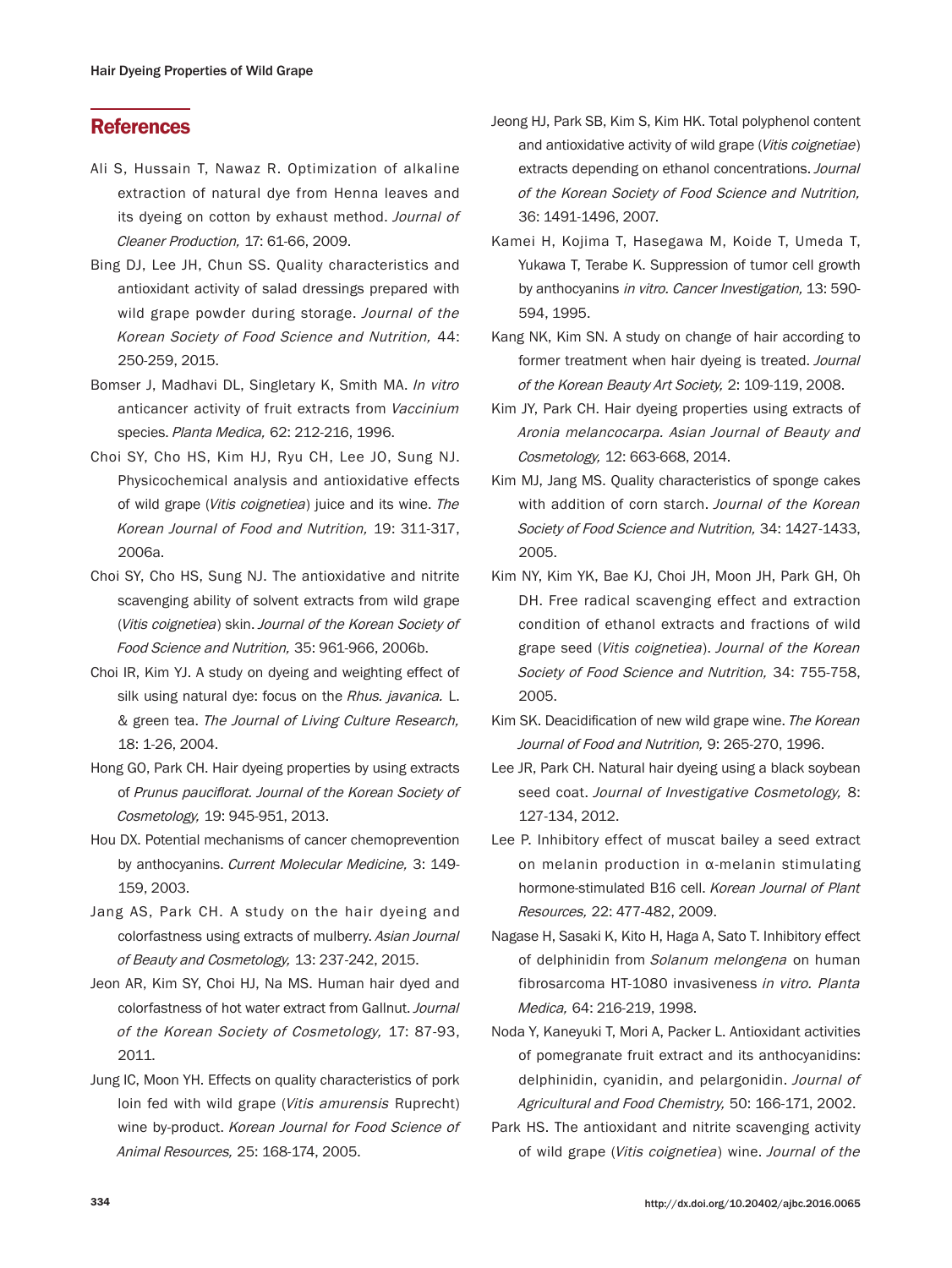# **References**

- Ali S, Hussain T, Nawaz R. Optimization of alkaline extraction of natural dye from Henna leaves and its dyeing on cotton by exhaust method. Journal of Cleaner Production, 17: 61-66, 2009.
- Bing DJ, Lee JH, Chun SS. Quality characteristics and antioxidant activity of salad dressings prepared with wild grape powder during storage. Journal of the Korean Society of Food Science and Nutrition, 44: 250-259, 2015.
- Bomser J, Madhavi DL, Singletary K, Smith MA. In vitro anticancer activity of fruit extracts from Vaccinium species. Planta Medica, 62: 212-216, 1996.
- Choi SY, Cho HS, Kim HJ, Ryu CH, Lee JO, Sung NJ. Physicochemical analysis and antioxidative effects of wild grape (Vitis coignetiea) juice and its wine. The Korean Journal of Food and Nutrition, 19: 311-317, 2006a.
- Choi SY, Cho HS, Sung NJ. The antioxidative and nitrite scavenging ability of solvent extracts from wild grape (Vitis coignetiea) skin. Journal of the Korean Society of Food Science and Nutrition, 35: 961-966, 2006b.
- Choi IR, Kim YJ. A study on dyeing and weighting effect of silk using natural dye: focus on the Rhus. javanica. L. & green tea. The Journal of Living Culture Research, 18: 1-26, 2004.
- Hong GO, Park CH. Hair dyeing properties by using extracts of Prunus pauciflorat. Journal of the Korean Society of Cosmetology, 19: 945-951, 2013.
- Hou DX. Potential mechanisms of cancer chemoprevention by anthocyanins. Current Molecular Medicine, 3: 149- 159, 2003.
- Jang AS, Park CH. A study on the hair dyeing and colorfastness using extracts of mulberry. Asian Journal of Beauty and Cosmetology, 13: 237-242, 2015.
- Jeon AR, Kim SY, Choi HJ, Na MS. Human hair dyed and colorfastness of hot water extract from Gallnut. Journal of the Korean Society of Cosmetology, 17: 87-93, 2011.
- Jung IC, Moon YH. Effects on quality characteristics of pork loin fed with wild grape (Vitis amurensis Ruprecht) wine by-product. Korean Journal for Food Science of Animal Resources, 25: 168-174, 2005.
- Jeong HJ, Park SB, Kim S, Kim HK. Total polyphenol content and antioxidative activity of wild grape (Vitis coignetiae) extracts depending on ethanol concentrations. Journal of the Korean Society of Food Science and Nutrition, 36: 1491-1496, 2007.
- Kamei H, Kojima T, Hasegawa M, Koide T, Umeda T, Yukawa T, Terabe K. Suppression of tumor cell growth by anthocyanins in vitro. Cancer Investigation, 13: 590- 594, 1995.
- Kang NK, Kim SN. A study on change of hair according to former treatment when hair dyeing is treated. Journal of the Korean Beauty Art Society, 2: 109-119, 2008.
- Kim JY, Park CH. Hair dyeing properties using extracts of Aronia melancocarpa. Asian Journal of Beauty and Cosmetology, 12: 663-668, 2014.
- Kim MJ, Jang MS. Quality characteristics of sponge cakes with addition of corn starch. Journal of the Korean Society of Food Science and Nutrition, 34: 1427-1433, 2005.
- Kim NY, Kim YK, Bae KJ, Choi JH, Moon JH, Park GH, Oh DH. Free radical scavenging effect and extraction condition of ethanol extracts and fractions of wild grape seed (Vitis coignetiea). Journal of the Korean Society of Food Science and Nutrition, 34: 755-758, 2005.
- Kim SK. Deacidification of new wild grape wine. The Korean Journal of Food and Nutrition, 9: 265-270, 1996.
- Lee JR, Park CH. Natural hair dyeing using a black soybean seed coat. Journal of Investigative Cosmetology, 8: 127-134, 2012.
- Lee P. Inhibitory effect of muscat bailey a seed extract on melanin production in α-melanin stimulating hormone-stimulated B16 cell. Korean Journal of Plant Resources, 22: 477-482, 2009.
- Nagase H, Sasaki K, Kito H, Haga A, Sato T. Inhibitory effect of delphinidin from Solanum melongena on human fibrosarcoma HT-1080 invasiveness in vitro. Planta Medica, 64: 216-219, 1998.
- Noda Y, Kaneyuki T, Mori A, Packer L. Antioxidant activities of pomegranate fruit extract and its anthocyanidins: delphinidin, cyanidin, and pelargonidin. Journal of Agricultural and Food Chemistry, 50: 166-171, 2002.
- Park HS. The antioxidant and nitrite scavenging activity of wild grape (Vitis coignetiea) wine. Journal of the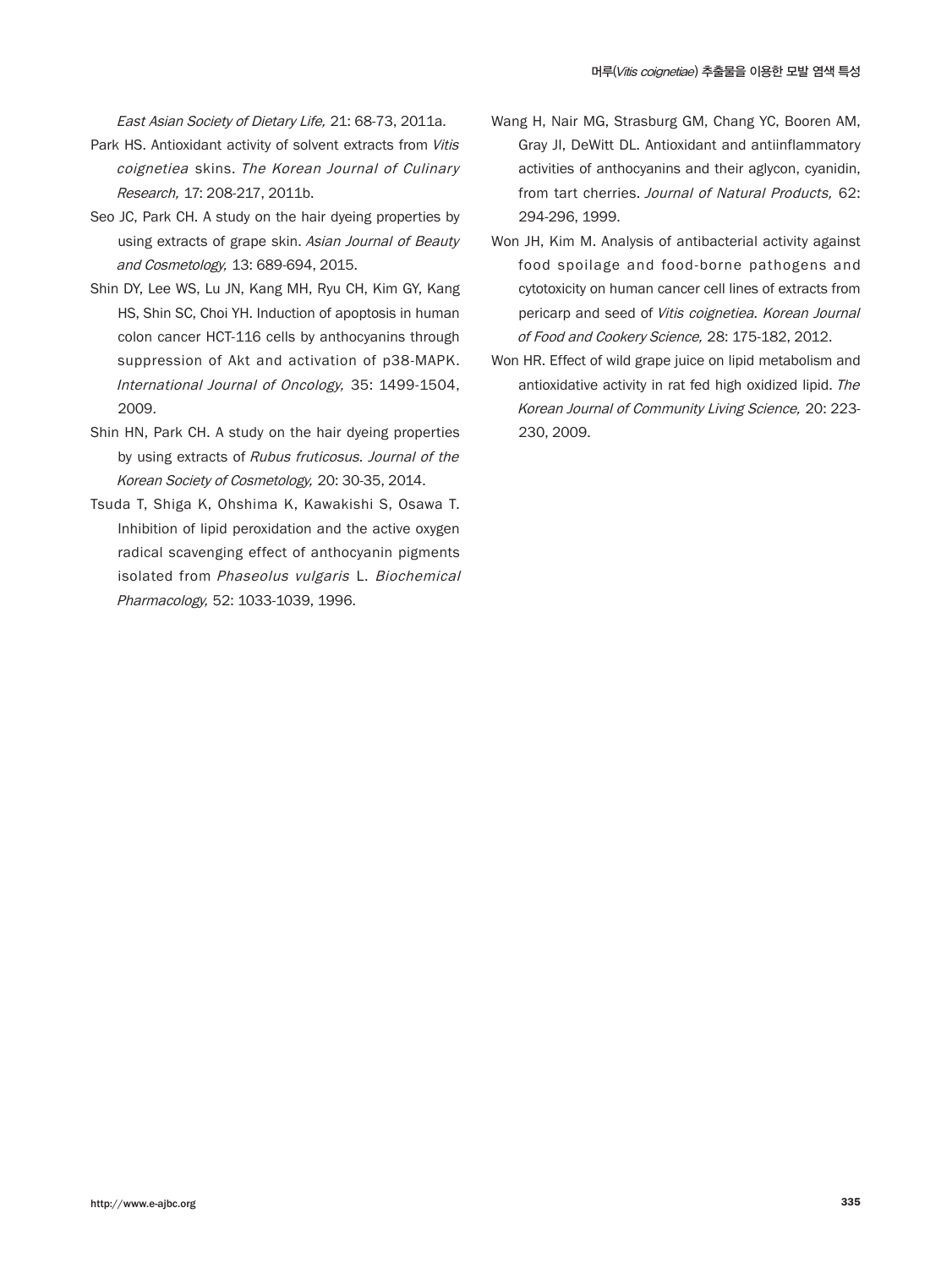East Asian Society of Dietary Life, 21: 68-73, 2011a.

- Park HS. Antioxidant activity of solvent extracts from Vitis coignetiea skins. The Korean Journal of Culinary Research, 17: 208-217, 2011b.
- Seo JC, Park CH. A study on the hair dyeing properties by using extracts of grape skin. Asian Journal of Beauty and Cosmetology, 13: 689-694, 2015.
- Shin DY, Lee WS, Lu JN, Kang MH, Ryu CH, Kim GY, Kang HS, Shin SC, Choi YH. Induction of apoptosis in human colon cancer HCT-116 cells by anthocyanins through suppression of Akt and activation of p38-MAPK. International Journal of Oncology, 35: 1499-1504, 2009.
- Shin HN, Park CH. A study on the hair dyeing properties by using extracts of Rubus fruticosus. Journal of the Korean Society of Cosmetology, 20: 30-35, 2014.
- Tsuda T, Shiga K, Ohshima K, Kawakishi S, Osawa T. Inhibition of lipid peroxidation and the active oxygen radical scavenging effect of anthocyanin pigments isolated from Phaseolus vulgaris L. Biochemical Pharmacology, 52: 1033-1039, 1996.
- Wang H, Nair MG, Strasburg GM, Chang YC, Booren AM, Gray JI, DeWitt DL. Antioxidant and antiinflammatory activities of anthocyanins and their aglycon, cyanidin, from tart cherries. Journal of Natural Products, 62: 294-296, 1999.
- Won JH, Kim M. Analysis of antibacterial activity against food spoilage and food-borne pathogens and cytotoxicity on human cancer cell lines of extracts from pericarp and seed of Vitis coignetiea. Korean Journal of Food and Cookery Science, 28: 175-182, 2012.
- Won HR. Effect of wild grape juice on lipid metabolism and antioxidative activity in rat fed high oxidized lipid. The Korean Journal of Community Living Science, 20: 223- 230, 2009.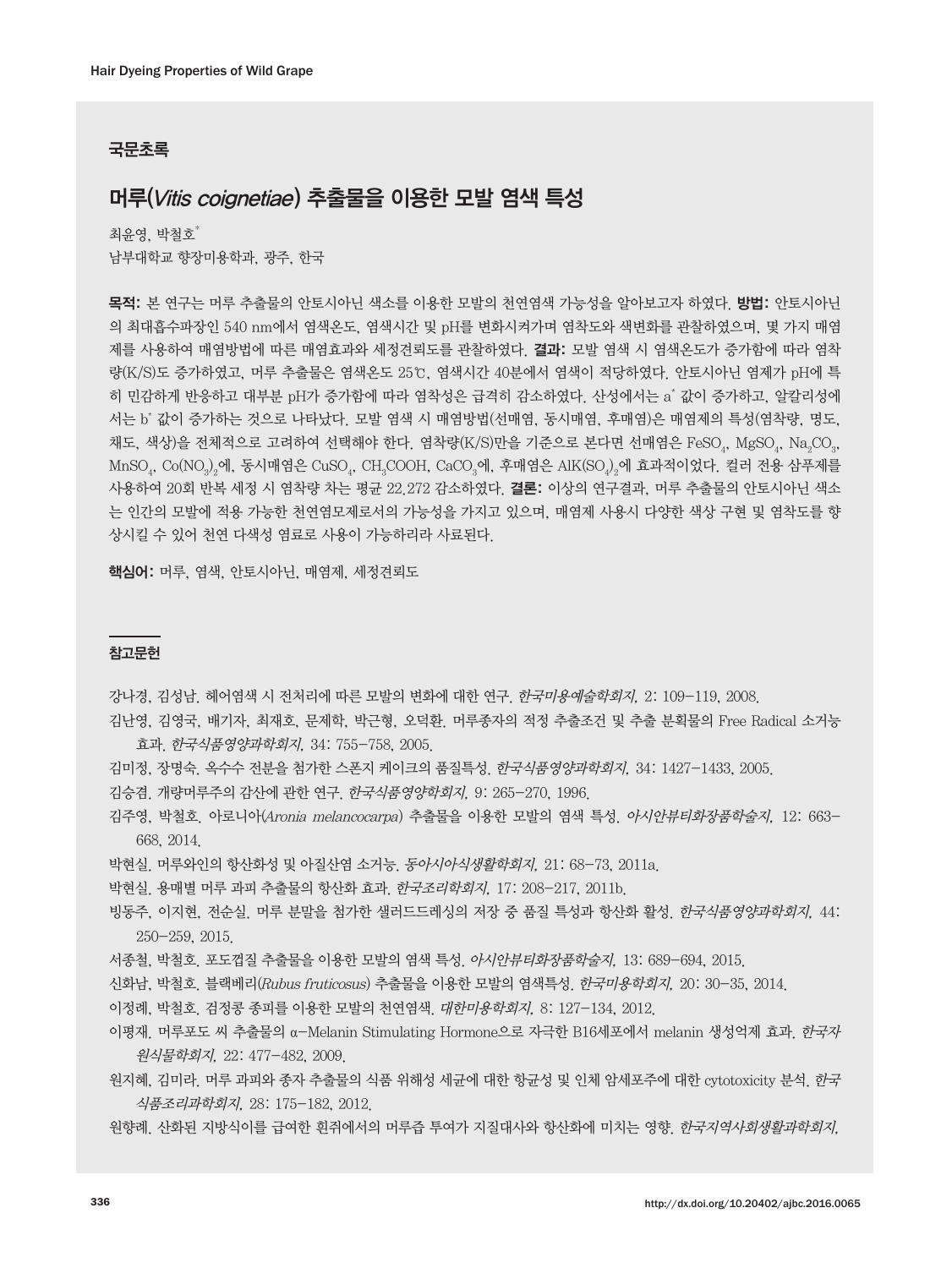#### 국문초록

# 머루(Vitis coignetiae) 추출물을 이용한 모발 염색 특성

최윤영, 박철호 남부대학교 향장미용학과, 광주, 한국

목적: 본 연구는 머루 추출물의 안토시아닌 색소를 이용한 모발의 천연염색 가능성을 알아보고자 하였다. 방법: 안토시아닌 의 최대흡수파장인 540 nm에서 염색온도, 염색시간 및 pH를 변화시켜가며 염착도와 색변화를 관찰하였으며, 몇 가지 매염 제를 사용하여 매염방법에 따른 매염효과와 세정견뢰도를 관찰하였다. 결과: 모발 염색 시 염색온도가 증가함에 따라 염착 량(K/S)도 증가하였고, 머루 추출물은 염색온도 25℃, 염색시간 40분에서 염색이 적당하였다. 안토시아닌 염제가 pH에 특 히 민감하게 반응하고 대부분 pH가 증가함에 따라 염착성은 급격히 감소하였다. 산성에서는 a\* 값이 증가하고, 알칼리성에 서는 b\* 값이 증가하는 것으로 나타났다. 모발 염색 시 매염방법(선매염, 동시매염, 후매염)은 매염제의 특성(염착량, 명도, 채도, 색상)을 전체적으로 고려하여 선택해야 한다. 염착량(K/S)만을 기준으로 본다면 선매염은 FeSO<sub>4</sub>, MgSO<sub>4</sub>, Na<sub>2</sub>CO<sub>3</sub>,  $\text{MnSO}_4$ ,  $\text{Co(NO}_3)_2$ 에, 동시매염은  $\text{CuSO}_4$ ,  $\text{CH}_3\text{COOH}$ ,  $\text{CaCO}_3$ 에, 후매염은  $\text{AlK(SO}_4)_2$ 에 효과적이었다. 컬러 전용 삼푸제를 사용하여 20회 반복 세정 시 염착량 차는 평균 22.272 감소하였다. 결론: 이상의 연구결과, 머루 추출물의 안토시아닌 색소 는 인간의 모발에 적용 가능한 천연염모제로서의 가능성을 가지고 있으며, 매염제 사용시 다양한 색상 구현 및 염착도를 향 상시킬 수 있어 천연 다색성 염료로 사용이 가능하리라 사료된다.

핵심어: 머루, 염색, 안토시아닌, 매염제, 세정견뢰도

#### 참고문헌

강나경, 김성남. 헤어염색 시 전처리에 따른 모발의 변화에 대한 연구. 한국미용예술학회지, 2: 109-119, 2008.

- 김난영, 김영국, 배기자, 최재호, 문제학, 박근형, 오덕환. 머루종자의 적정 추출조건 및 추출 분획물의 Free Radical 소거능 효과. 한국식품영양과학회지, 34: 755-758, 2005.
- 김미정, 장명숙. 옥수수 전분을 첨가한 스폰지 케이크의 품질특성. 한국식품영양과학회지, 34: 1427-1433, 2005.
- 김승겸. 개량머루주의 감산에 관한 연구. 한국식품영양학회지, 9: 265-270, 1996.
- 김주영, 박철호. 아로니아(Aronia melancocarpa) 추출물을 이용한 모발의 염색 특성. 아시안뷰티화장품학술지, 12: 663- 668, 2014.
- 박현실. 머루와인의 항산화성 및 아질산염 소거능. 동아시아식생활학회지, 21: 68-73, 2011a.
- 박현실. 용매별 머루 과피 추출물의 항산화 효과. 한국조리학회지, 17: 208-217, 2011b.
- 빙동주, 이지현, 전순실. 머루 분말을 첨가한 샐러드드레싱의 저장 중 품질 특성과 항산화 활성. 한국식품영양과학회지, 44: 250-259, 2015.
- 서종철, 박철호. 포도껍질 추출물을 이용한 모발의 염색 특성. 아시안뷰티화장품학술지, 13: 689-694, 2015.
- 신화남, 박철호. 블랙베리(Rubus fruticosus) 추출물을 이용한 모발의 염색특성. 한국미용학회지, 20: 30-35, 2014.
- 이정례, 박철호. 검정콩 종피를 이용한 모발의 천연염색. 대한미용학회지, 8: 127-134, 2012.
- 이평재. 머루포도 씨 추출물의 α-Melanin Stimulating Hormone으로 자극한 B16세포에서 melanin 생성억제 효과. *한국자* 원식물학회지, 22: 477-482, 2009.
- 원지혜, 김미라. 머루 과피와 종자 추출물의 식품 위해성 세균에 대한 항균성 및 인체 암세포주에 대한 cytotoxicity 분석. 한국 식품조리과학회지, 28: 175-182, 2012.
- 원향례. 산화된 지방식이를 급여한 흰쥐에서의 머루즙 투여가 지질대사와 항산화에 미치는 영향. 한국지역사회생활과학회지,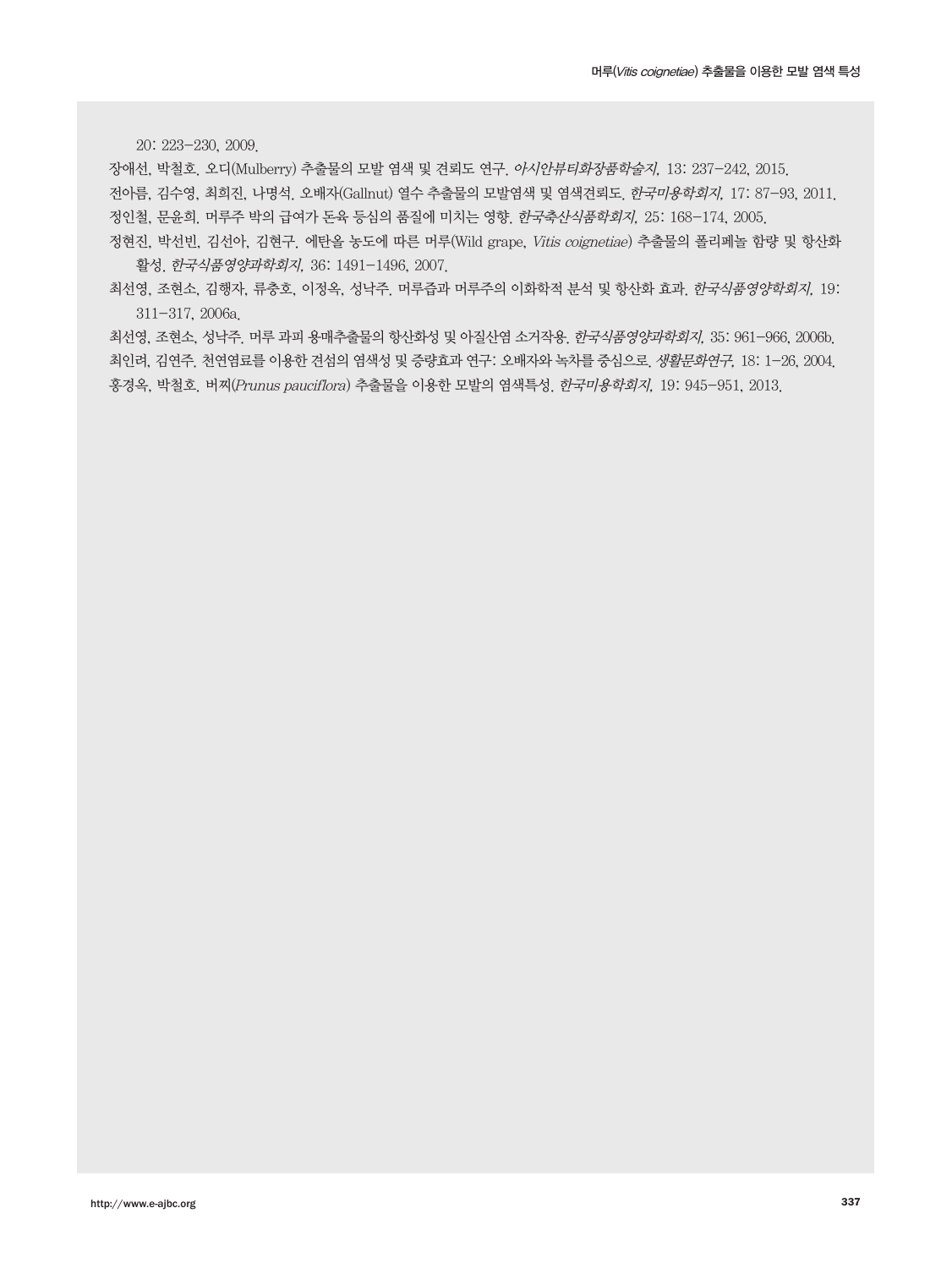20: 223-230, 2009.

장애선, 박철호. 오디(Mulberry) 추출물의 모발 염색 및 견뢰도 연구. 아시안뷰티화장품학술지, 13: 237-242, 2015. 전아름, 김수영, 최희진, 나명석. 오배자(Gallnut) 열수 추출물의 모발염색 및 염색견뢰도. 한국미용학회지, 17: 87-93, 2011. 정인철, 문윤희. 머루주 박의 급여가 돈육 등심의 품질에 미치는 영향. 한국축산식품학회지, 25: 168-174, 2005.

정현진, 박선빈, 김선아, 김현구. 에탄올 농도에 따른 머루(Wild grape, Vitis coignetiae) 추출물의 폴리페놀 함량 및 항산화 활성. 한국식품영양과학회지, 36: 1491-1496, 2007.

최선영, 조현소, 김행자, 류충호, 이정옥, 성낙주. 머루즙과 머루주의 이화학적 분석 및 항산화 효과. 한국식품영양학회지, 19: 311-317, 2006a.

최선영, 조현소, 성낙주. 머루 과피 용매추출물의 항산화성 및 아질산염 소거작용. 한국식품영양과학회지, 35: 961-966, 2006b. 최인려, 김연주. 천연염료를 이용한 견섬의 염색성 및 증량효과 연구: 오배자와 녹차를 중심으로. 생활문화연구, 18: 1-26, 2004. 홍경옥, 박철호. 버찌(Prunus pauciflora) 추출물을 이용한 모발의 염색특성. 한국미용학회지, 19: 945-951, 2013.